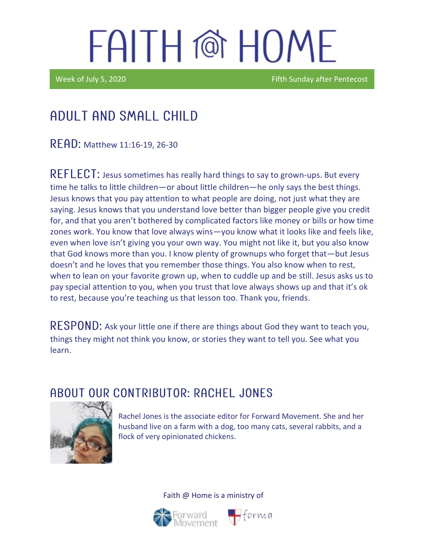# FAITH @ HOME

Week of July 5, 2020 **Fifth Sunday after Pentecost** 

### Adult and Small Child

READ: Matthew 11:16-19, 26-30

REFLECT: Jesus sometimes has really hard things to say to grown-ups. But every time he talks to little children—or about little children—he only says the best things. Jesus knows that you pay attention to what people are doing, not just what they are saying. Jesus knows that you understand love better than bigger people give you credit for, and that you aren't bothered by complicated factors like money or bills or how time zones work. You know that love always wins—you know what it looks like and feels like, even when love isn't giving you your own way. You might not like it, but you also know that God knows more than you. I know plenty of grownups who forget that—but Jesus doesn't and he loves that you remember those things. You also know when to rest, when to lean on your favorite grown up, when to cuddle up and be still. Jesus asks us to pay special attention to you, when you trust that love always shows up and that it's ok to rest, because you're teaching us that lesson too. Thank you, friends.

RESPOND: Ask your little one if there are things about God they want to teach you, things they might not think you know, or stories they want to tell you. See what you learn.

#### ABOUT OUR CONTRIBUTOR: RACHEL JONES



Rachel Jones is the associate editor for Forward Movement. She and her husband live on a farm with a dog, too many cats, several rabbits, and a flock of very opinionated chickens.

Faith @ Home is a ministry of



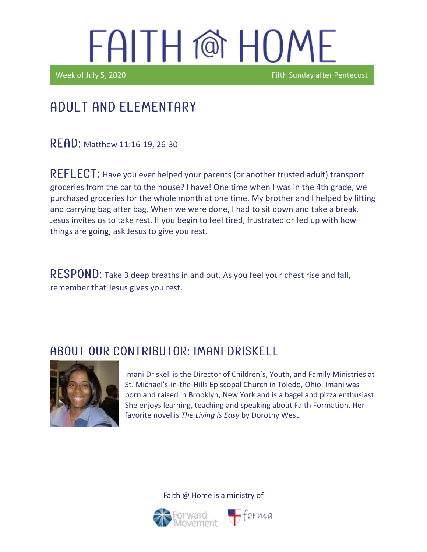# FAITH @ HOME

Ϊ

Week of July 5, 2020 **Fifth Sunday after Pentecost** 

### Adult and elementary

**READ:** Matthew 11:16-19, 26-30

REFLECT: Have you ever helped your parents (or another trusted adult) transport groceries from the car to the house? I have! One time when I was in the 4th grade, we purchased groceries for the whole month at one time. My brother and I helped by lifting and carrying bag after bag. When we were done, I had to sit down and take a break. Jesus invites us to take rest. If you begin to feel tired, frustrated or fed up with how things are going, ask Jesus to give you rest.

RESPOND: Take 3 deep breaths in and out. As you feel your chest rise and fall, remember that Jesus gives you rest.

#### A BOUT OUR CONTRIBUTOR: IMANI DRISKELL



Imani Driskell is the Director of Children's, Youth, and Family Ministries at St. Michael's-in-the-Hills Episcopal Church in Toledo, Ohio. Imani was born and raised in Brooklyn, New York and is a bagel and pizza enthusiast. She enjoys learning, teaching and speaking about Faith Formation. Her favorite novel is *The Living is Easy* by Dorothy West.

Faith @ Home is a ministry of

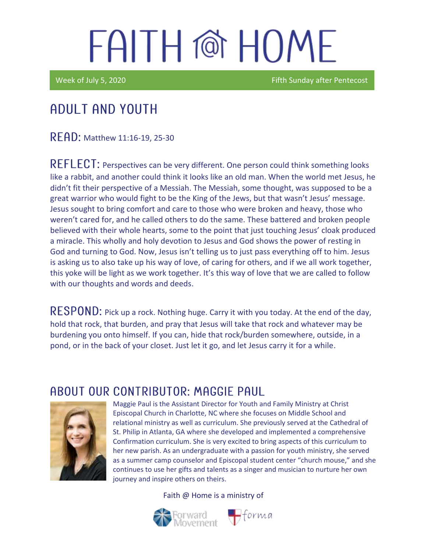# FAITH @ HOMF

Week of July 5, 2020 **Fifth Sunday after Pentecost** 

### Adult and youth

READ: Matthew 11:16-19, 25-30

REFLECT: Perspectives can be very different. One person could think something looks like a rabbit, and another could think it looks like an old man. When the world met Jesus, he didn't fit their perspective of a Messiah. The Messiah, some thought, was supposed to be a great warrior who would fight to be the King of the Jews, but that wasn't Jesus' message. Jesus sought to bring comfort and care to those who were broken and heavy, those who weren't cared for, and he called others to do the same. These battered and broken people believed with their whole hearts, some to the point that just touching Jesus' cloak produced a miracle. This wholly and holy devotion to Jesus and God shows the power of resting in God and turning to God. Now, Jesus isn't telling us to just pass everything off to him. Jesus is asking us to also take up his way of love, of caring for others, and if we all work together, this yoke will be light as we work together. It's this way of love that we are called to follow with our thoughts and words and deeds.

RESPOND: Pick up a rock. Nothing huge. Carry it with you today. At the end of the day, hold that rock, that burden, and pray that Jesus will take that rock and whatever may be burdening you onto himself. If you can, hide that rock/burden somewhere, outside, in a pond, or in the back of your closet. Just let it go, and let Jesus carry it for a while.

#### ABOUT OUR CONTRIBUTOR: MAGGIE PAUL



Maggie Paul is the Assistant Director for Youth and Family Ministry at Christ Episcopal Church in Charlotte, NC where she focuses on Middle School and relational ministry as well as curriculum. She previously served at the Cathedral of St. Philip in Atlanta, GA where she developed and implemented a comprehensive Confirmation curriculum. She is very excited to bring aspects of this curriculum to her new parish. As an undergraduate with a passion for youth ministry, she served as a summer camp counselor and Episcopal student center "church mouse," and she continues to use her gifts and talents as a singer and musician to nurture her own journey and inspire others on theirs.

Faith @ Home is a ministry of